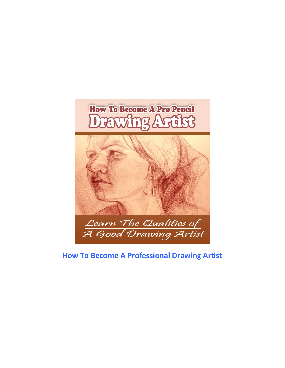

## **How To Become A Professional Drawing Artist**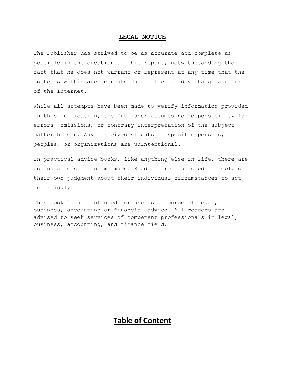#### **LEGAL NOTICE**

The Publisher has strived to be as accurate and complete as possible in the creation of this report, notwithstanding the fact that he does not warrant or represent at any time that the contents within are accurate due to the rapidly changing nature of the Internet.

While all attempts have been made to verify information provided in this publication, the Publisher assumes no responsibility for errors, omissions, or contrary interpretation of the subject matter herein. Any perceived slights of specific persons, peoples, or organizations are unintentional.

In practical advice books, like anything else in life, there are no guarantees of income made. Readers are cautioned to reply on their own judgment about their individual circumstances to act accordingly.

This book is not intended for use as a source of legal, business, accounting or financial advice. All readers are advised to seek services of competent professionals in legal, business, accounting, and finance field.

### **Table of Content**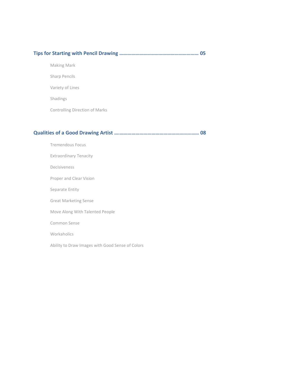|--|--|--|

Making Mark

Sharp Pencils

Variety of Lines

Shadings

Controlling Direction of Marks

### **Qualities of a Good Drawing Artist ….…………………………………………………… 08**

Tremendous Focus Extraordinary Tenacity Decisiveness Proper and Clear Vision Separate Entity Great Marketing Sense Move Along With Talented People Common Sense Workaholics Ability to Draw Images with Good Sense of Colors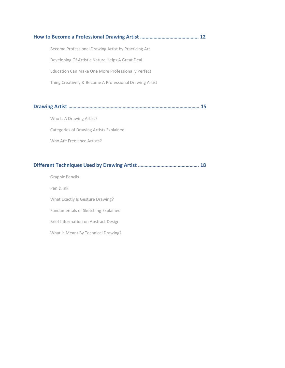# **How to Become a Professional Drawing Artist ….…………………………………. 12** Become Professional Drawing Artist by Practicing Art Developing Of Artistic Nature Helps A Great Deal Education Can Make One More Professionally Perfect Thing Creatively & Become A Professional Drawing Artist

**Drawing Artist ……………………………………………………………………………………… 15**

Who Is A Drawing Artist? Categories of Drawing Artists Explained Who Are Freelance Artists?

#### **Different Techniques Used by Drawing Artist ………………………………………. 18**

Graphic Pencils Pen & Ink What Exactly Is Gesture Drawing? Fundamentals of Sketching Explained Brief Information on Abstract Design What Is Meant By Technical Drawing?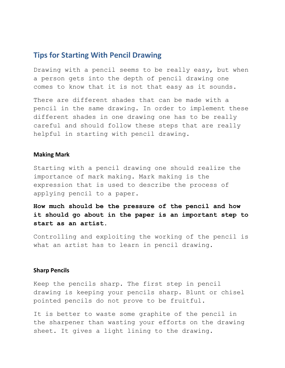### **Tips for Starting With Pencil Drawing**

Drawing with a pencil seems to be really easy, but when a person gets into the depth of pencil drawing one comes to know that it is not that easy as it sounds.

There are different shades that can be made with a pencil in the same drawing. In order to implement these different shades in one drawing one has to be really careful and should follow these steps that are really helpful in starting with pencil drawing.

#### **Making Mark**

Starting with a pencil drawing one should realize the importance of mark making. Mark making is the expression that is used to describe the process of applying pencil to a paper.

**How much should be the pressure of the pencil and how it should go about in the paper is an important step to start as an artist.** 

Controlling and exploiting the working of the pencil is what an artist has to learn in pencil drawing.

#### **Sharp Pencils**

Keep the pencils sharp. The first step in pencil drawing is keeping your pencils sharp. Blunt or chisel pointed pencils do not prove to be fruitful.

It is better to waste some graphite of the pencil in the sharpener than wasting your efforts on the drawing sheet. It gives a light lining to the drawing.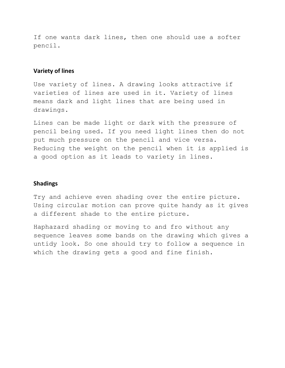If one wants dark lines, then one should use a softer pencil.

#### **Variety of lines**

Use variety of lines. A drawing looks attractive if varieties of lines are used in it. Variety of lines means dark and light lines that are being used in drawings.

Lines can be made light or dark with the pressure of pencil being used. If you need light lines then do not put much pressure on the pencil and vice versa. Reducing the weight on the pencil when it is applied is a good option as it leads to variety in lines.

#### **Shadings**

Try and achieve even shading over the entire picture. Using circular motion can prove quite handy as it gives a different shade to the entire picture.

Haphazard shading or moving to and fro without any sequence leaves some bands on the drawing which gives a untidy look. So one should try to follow a sequence in which the drawing gets a good and fine finish.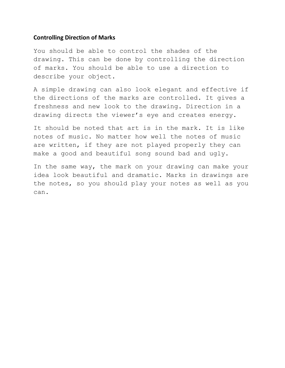#### **Controlling Direction of Marks**

You should be able to control the shades of the drawing. This can be done by controlling the direction of marks. You should be able to use a direction to describe your object.

A simple drawing can also look elegant and effective if the directions of the marks are controlled. It gives a freshness and new look to the drawing. Direction in a drawing directs the viewer's eye and creates energy.

It should be noted that art is in the mark. It is like notes of music. No matter how well the notes of music are written, if they are not played properly they can make a good and beautiful song sound bad and ugly.

In the same way, the mark on your drawing can make your idea look beautiful and dramatic. Marks in drawings are the notes, so you should play your notes as well as you can.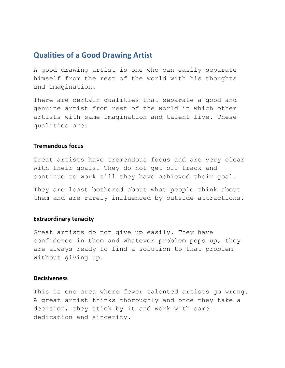### **Qualities of a Good Drawing Artist**

A good drawing artist is one who can easily separate himself from the rest of the world with his thoughts and imagination.

There are certain qualities that separate a good and genuine artist from rest of the world in which other artists with same imagination and talent live. These qualities are:

#### **Tremendous focus**

Great artists have tremendous focus and are very clear with their goals. They do not get off track and continue to work till they have achieved their goal.

They are least bothered about what people think about them and are rarely influenced by outside attractions.

#### **Extraordinary tenacity**

Great artists do not give up easily. They have confidence in them and whatever problem pops up, they are always ready to find a solution to that problem without giving up.

#### **Decisiveness**

This is one area where fewer talented artists go wrong. A great artist thinks thoroughly and once they take a decision, they stick by it and work with same dedication and sincerity.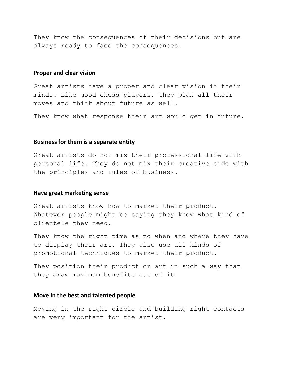They know the consequences of their decisions but are always ready to face the consequences.

#### **Proper and clear vision**

Great artists have a proper and clear vision in their minds. Like good chess players, they plan all their moves and think about future as well.

They know what response their art would get in future.

#### **Business for them is a separate entity**

Great artists do not mix their professional life with personal life. They do not mix their creative side with the principles and rules of business.

#### **Have great marketing sense**

Great artists know how to market their product. Whatever people might be saying they know what kind of clientele they need.

They know the right time as to when and where they have to display their art. They also use all kinds of promotional techniques to market their product.

They position their product or art in such a way that they draw maximum benefits out of it.

#### **Move in the best and talented people**

Moving in the right circle and building right contacts are very important for the artist.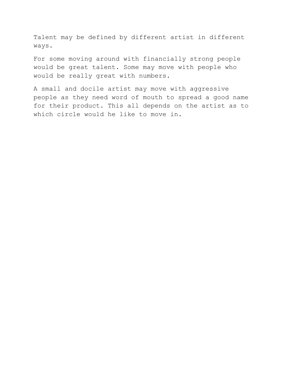Talent may be defined by different artist in different ways.

For some moving around with financially strong people would be great talent. Some may move with people who would be really great with numbers.

A small and docile artist may move with aggressive people as they need word of mouth to spread a good name for their product. This all depends on the artist as to which circle would he like to move in.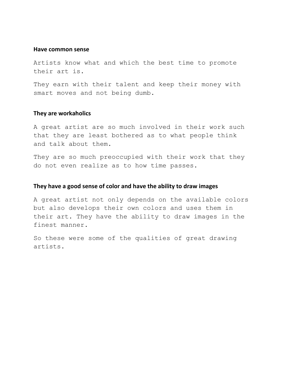#### **Have common sense**

Artists know what and which the best time to promote their art is.

They earn with their talent and keep their money with smart moves and not being dumb.

#### **They are workaholics**

A great artist are so much involved in their work such that they are least bothered as to what people think and talk about them.

They are so much preoccupied with their work that they do not even realize as to how time passes.

#### **They have a good sense of color and have the ability to draw images**

A great artist not only depends on the available colors but also develops their own colors and uses them in their art. They have the ability to draw images in the finest manner.

So these were some of the qualities of great drawing artists.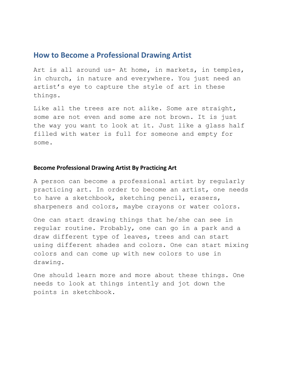### **How to Become a Professional Drawing Artist**

Art is all around us- At home, in markets, in temples, in church, in nature and everywhere. You just need an artist's eye to capture the style of art in these things.

Like all the trees are not alike. Some are straight, some are not even and some are not brown. It is just the way you want to look at it. Just like a glass half filled with water is full for someone and empty for some.

#### **Become Professional Drawing Artist By Practicing Art**

A person can become a professional artist by regularly practicing art. In order to become an artist, one needs to have a sketchbook, sketching pencil, erasers, sharpeners and colors, maybe crayons or water colors.

One can start drawing things that he/she can see in regular routine. Probably, one can go in a park and a draw different type of leaves, trees and can start using different shades and colors. One can start mixing colors and can come up with new colors to use in drawing.

One should learn more and more about these things. One needs to look at things intently and jot down the points in sketchbook.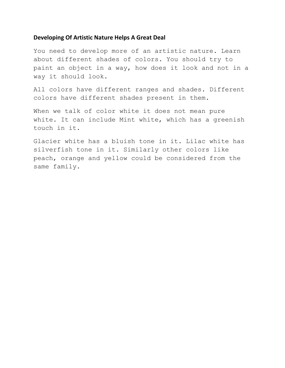#### **Developing Of Artistic Nature Helps A Great Deal**

You need to develop more of an artistic nature. Learn about different shades of colors. You should try to paint an object in a way, how does it look and not in a way it should look.

All colors have different ranges and shades. Different colors have different shades present in them.

When we talk of color white it does not mean pure white. It can include Mint white, which has a greenish touch in it.

Glacier white has a bluish tone in it. Lilac white has silverfish tone in it. Similarly other colors like peach, orange and yellow could be considered from the same family.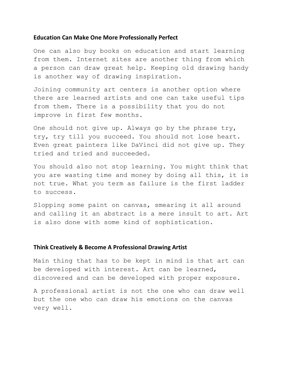#### **Education Can Make One More Professionally Perfect**

One can also buy books on education and start learning from them. Internet sites are another thing from which a person can draw great help. Keeping old drawing handy is another way of drawing inspiration.

Joining community art centers is another option where there are learned artists and one can take useful tips from them. There is a possibility that you do not improve in first few months.

One should not give up. Always go by the phrase try, try, try till you succeed. You should not lose heart. Even great painters like DaVinci did not give up. They tried and tried and succeeded.

You should also not stop learning. You might think that you are wasting time and money by doing all this, it is not true. What you term as failure is the first ladder to success.

Slopping some paint on canvas, smearing it all around and calling it an abstract is a mere insult to art. Art is also done with some kind of sophistication.

#### **Think Creatively & Become A Professional Drawing Artist**

Main thing that has to be kept in mind is that art can be developed with interest. Art can be learned, discovered and can be developed with proper exposure.

A professional artist is not the one who can draw well but the one who can draw his emotions on the canvas very well.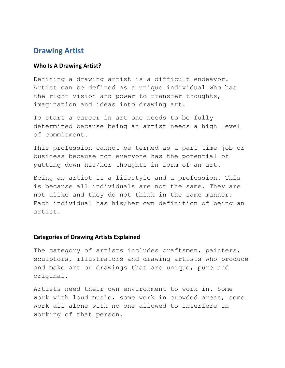### **Drawing Artist**

#### **Who Is A Drawing Artist?**

Defining a drawing artist is a difficult endeavor. Artist can be defined as a unique individual who has the right vision and power to transfer thoughts, imagination and ideas into drawing art.

To start a career in art one needs to be fully determined because being an artist needs a high level of commitment.

This profession cannot be termed as a part time job or business because not everyone has the potential of putting down his/her thoughts in form of an art.

Being an artist is a lifestyle and a profession. This is because all individuals are not the same. They are not alike and they do not think in the same manner. Each individual has his/her own definition of being an artist.

#### **Categories of Drawing Artists Explained**

The category of artists includes craftsmen, painters, sculptors, illustrators and drawing artists who produce and make art or drawings that are unique, pure and original.

Artists need their own environment to work in. Some work with loud music, some work in crowded areas, some work all alone with no one allowed to interfere in working of that person.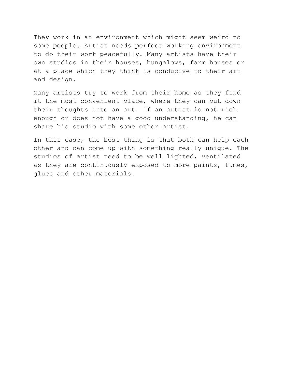They work in an environment which might seem weird to some people. Artist needs perfect working environment to do their work peacefully. Many artists have their own studios in their houses, bungalows, farm houses or at a place which they think is conducive to their art and design.

Many artists try to work from their home as they find it the most convenient place, where they can put down their thoughts into an art. If an artist is not rich enough or does not have a good understanding, he can share his studio with some other artist.

In this case, the best thing is that both can help each other and can come up with something really unique. The studios of artist need to be well lighted, ventilated as they are continuously exposed to more paints, fumes, glues and other materials.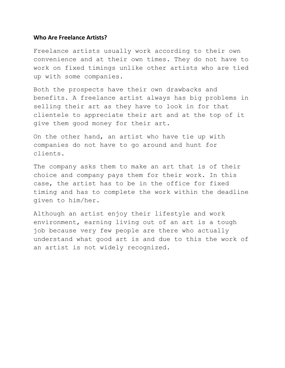#### **Who Are Freelance Artists?**

Freelance artists usually work according to their own convenience and at their own times. They do not have to work on fixed timings unlike other artists who are tied up with some companies.

Both the prospects have their own drawbacks and benefits. A freelance artist always has big problems in selling their art as they have to look in for that clientele to appreciate their art and at the top of it give them good money for their art.

On the other hand, an artist who have tie up with companies do not have to go around and hunt for clients.

The company asks them to make an art that is of their choice and company pays them for their work. In this case, the artist has to be in the office for fixed timing and has to complete the work within the deadline given to him/her.

Although an artist enjoy their lifestyle and work environment, earning living out of an art is a tough job because very few people are there who actually understand what good art is and due to this the work of an artist is not widely recognized.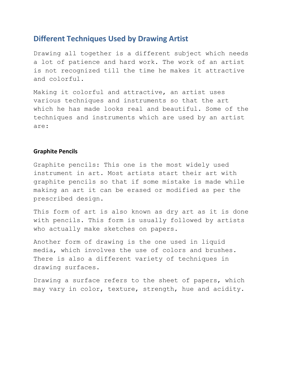### **Different Techniques Used by Drawing Artist**

Drawing all together is a different subject which needs a lot of patience and hard work. The work of an artist is not recognized till the time he makes it attractive and colorful.

Making it colorful and attractive, an artist uses various techniques and instruments so that the art which he has made looks real and beautiful. Some of the techniques and instruments which are used by an artist are:

#### **Graphite Pencils**

Graphite pencils: This one is the most widely used instrument in art. Most artists start their art with graphite pencils so that if some mistake is made while making an art it can be erased or modified as per the prescribed design.

This form of art is also known as dry art as it is done with pencils. This form is usually followed by artists who actually make sketches on papers.

Another form of drawing is the one used in liquid media, which involves the use of colors and brushes. There is also a different variety of techniques in drawing surfaces.

Drawing a surface refers to the sheet of papers, which may vary in color, texture, strength, hue and acidity.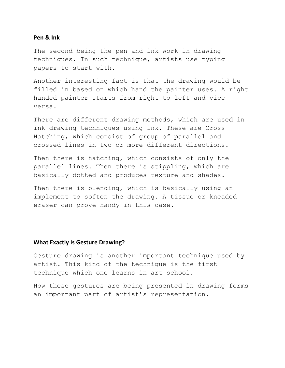#### **Pen & Ink**

The second being the pen and ink work in drawing techniques. In such technique, artists use typing papers to start with.

Another interesting fact is that the drawing would be filled in based on which hand the painter uses. A right handed painter starts from right to left and vice versa.

There are different drawing methods, which are used in ink drawing techniques using ink. These are Cross Hatching, which consist of group of parallel and crossed lines in two or more different directions.

Then there is hatching, which consists of only the parallel lines. Then there is stippling, which are basically dotted and produces texture and shades.

Then there is blending, which is basically using an implement to soften the drawing. A tissue or kneaded eraser can prove handy in this case.

#### **What Exactly Is Gesture Drawing?**

Gesture drawing is another important technique used by artist. This kind of the technique is the first technique which one learns in art school.

How these gestures are being presented in drawing forms an important part of artist's representation.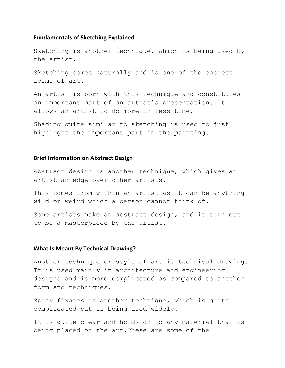#### **Fundamentals of Sketching Explained**

Sketching is another technique, which is being used by the artist.

Sketching comes naturally and is one of the easiest forms of art.

An artist is born with this technique and constitutes an important part of an artist's presentation. It allows an artist to do more in less time.

Shading quite similar to sketching is used to just highlight the important part in the painting.

#### **Brief Information on Abstract Design**

Abstract design is another technique, which gives an artist an edge over other artists.

This comes from within an artist as it can be anything wild or weird which a person cannot think of.

Some artists make an abstract design, and it turn out to be a masterpiece by the artist.

#### **What Is Meant By Technical Drawing?**

Another technique or style of art is technical drawing. It is used mainly in architecture and engineering designs and is more complicated as compared to another form and techniques.

Spray fixates is another technique, which is quite complicated but is being used widely.

It is quite clear and holds on to any material that is being placed on the art.These are some of the